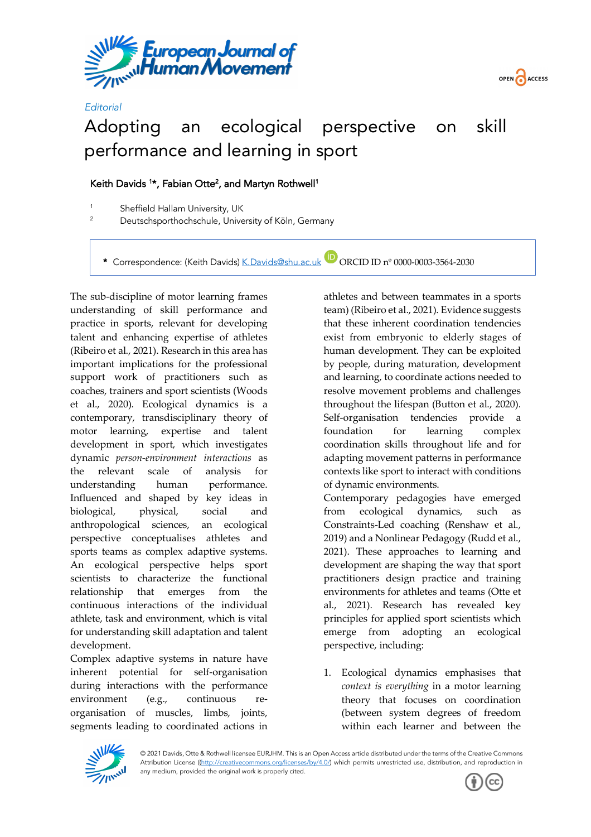



## Adopting an ecological perspective on skill performance and learning in sport

## Keith Davids <sup>1\*</sup>, Fabian Otte<sup>2</sup>, and Martyn Rothwell<sup>1</sup>

<sup>1</sup> Sheffield Hallam University, UK<br><sup>2</sup> Deutschaperthachechule Unive

*Editorial*

<sup>2</sup> Deutschsporthochschule, University of Köln, Germany

\* Correspondence: (Keith Davids) K.Davids@shu.ac.uk ORCID ID nº 0000-0003-3564-2030

The sub-discipline of motor learning frames understanding of skill performance and practice in sports, relevant for developing talent and enhancing expertise of athletes (Ribeiro et al., 2021). Research in this area has important implications for the professional support work of practitioners such as coaches, trainers and sport scientists (Woods et al., 2020). Ecological dynamics is a contemporary, transdisciplinary theory of motor learning, expertise and talent development in sport, which investigates dynamic *person-environment interactions* as the relevant scale of analysis for understanding human performance. Influenced and shaped by key ideas in biological, physical, social and anthropological sciences, an ecological perspective conceptualises athletes and sports teams as complex adaptive systems. An ecological perspective helps sport scientists to characterize the functional relationship that emerges from the continuous interactions of the individual athlete, task and environment, which is vital for understanding skill adaptation and talent development.

Complex adaptive systems in nature have inherent potential for self-organisation during interactions with the performance environment (e.g., continuous reorganisation of muscles, limbs, joints, segments leading to coordinated actions in athletes and between teammates in a sports team) (Ribeiro et al., 2021). Evidence suggests that these inherent coordination tendencies exist from embryonic to elderly stages of human development. They can be exploited by people, during maturation, development and learning, to coordinate actions needed to resolve movement problems and challenges throughout the lifespan (Button et al., 2020). Self-organisation tendencies provide a foundation for learning complex coordination skills throughout life and for adapting movement patterns in performance contexts like sport to interact with conditions of dynamic environments.

Contemporary pedagogies have emerged from ecological dynamics, such as Constraints-Led coaching (Renshaw et al., 2019) and a Nonlinear Pedagogy (Rudd et al., 2021). These approaches to learning and development are shaping the way that sport practitioners design practice and training environments for athletes and teams (Otte et al., 2021). Research has revealed key principles for applied sport scientists which emerge from adopting an ecological perspective, including:

1. Ecological dynamics emphasises that *context is everything* in a motor learning theory that focuses on coordination (between system degrees of freedom within each learner and between the



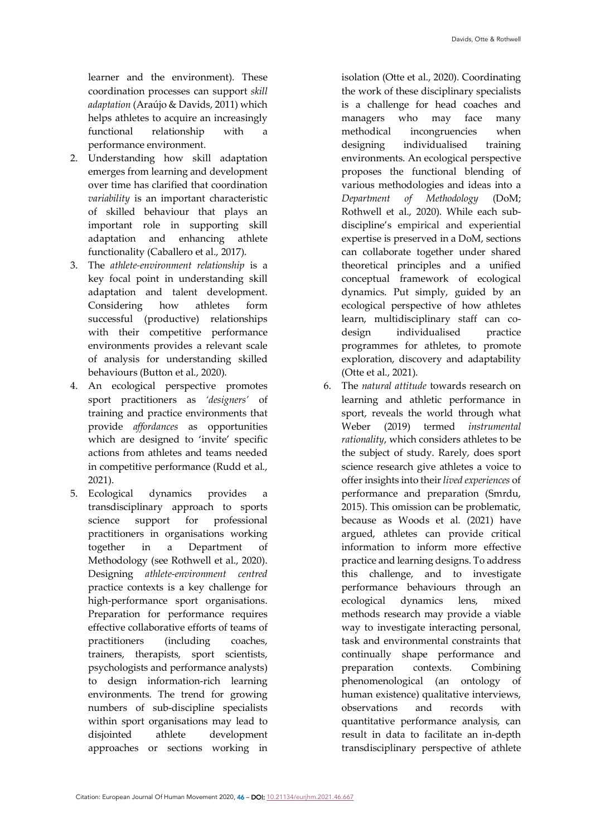learner and the environment). These coordination processes can support *skill adaptation* (Araújo & Davids, 2011) which helps athletes to acquire an increasingly functional relationship with a performance environment.

- 2. Understanding how skill adaptation emerges from learning and development over time has clarified that coordination *variability* is an important characteristic of skilled behaviour that plays an important role in supporting skill adaptation and enhancing athlete functionality (Caballero et al., 2017).
- 3. The *athlete-environment relationship* is a key focal point in understanding skill adaptation and talent development. Considering how athletes form successful (productive) relationships with their competitive performance environments provides a relevant scale of analysis for understanding skilled behaviours (Button et al., 2020).
- 4. An ecological perspective promotes sport practitioners as *'designers'* of training and practice environments that provide *affordances* as opportunities which are designed to 'invite' specific actions from athletes and teams needed in competitive performance (Rudd et al., 2021).
- 5. Ecological dynamics provides a transdisciplinary approach to sports science support for professional practitioners in organisations working together in a Department of Methodology (see Rothwell et al., 2020). Designing *athlete-environment centred* practice contexts is a key challenge for high-performance sport organisations. Preparation for performance requires effective collaborative efforts of teams of practitioners (including coaches, trainers, therapists, sport scientists, psychologists and performance analysts) to design information-rich learning environments. The trend for growing numbers of sub-discipline specialists within sport organisations may lead to disjointed athlete development approaches or sections working in

isolation (Otte et al., 2020). Coordinating the work of these disciplinary specialists is a challenge for head coaches and managers who may face many methodical incongruencies when designing individualised training environments. An ecological perspective proposes the functional blending of various methodologies and ideas into a *Department of Methodology* (DoM; Rothwell et al., 2020). While each subdiscipline's empirical and experiential expertise is preserved in a DoM, sections can collaborate together under shared theoretical principles and a unified conceptual framework of ecological dynamics. Put simply, guided by an ecological perspective of how athletes learn, multidisciplinary staff can codesign individualised practice programmes for athletes, to promote exploration, discovery and adaptability (Otte et al., 2021).

6. The *natural attitude* towards research on learning and athletic performance in sport, reveals the world through what Weber (2019) termed *instrumental rationality*, which considers athletes to be the subject of study. Rarely, does sport science research give athletes a voice to offer insights into their *lived experiences* of performance and preparation (Smrdu, 2015). This omission can be problematic, because as Woods et al. (2021) have argued, athletes can provide critical information to inform more effective practice and learning designs. To address this challenge, and to investigate performance behaviours through an ecological dynamics lens, mixed methods research may provide a viable way to investigate interacting personal, task and environmental constraints that continually shape performance and preparation contexts. Combining phenomenological (an ontology of human existence) qualitative interviews, observations and records with quantitative performance analysis, can result in data to facilitate an in-depth transdisciplinary perspective of athlete